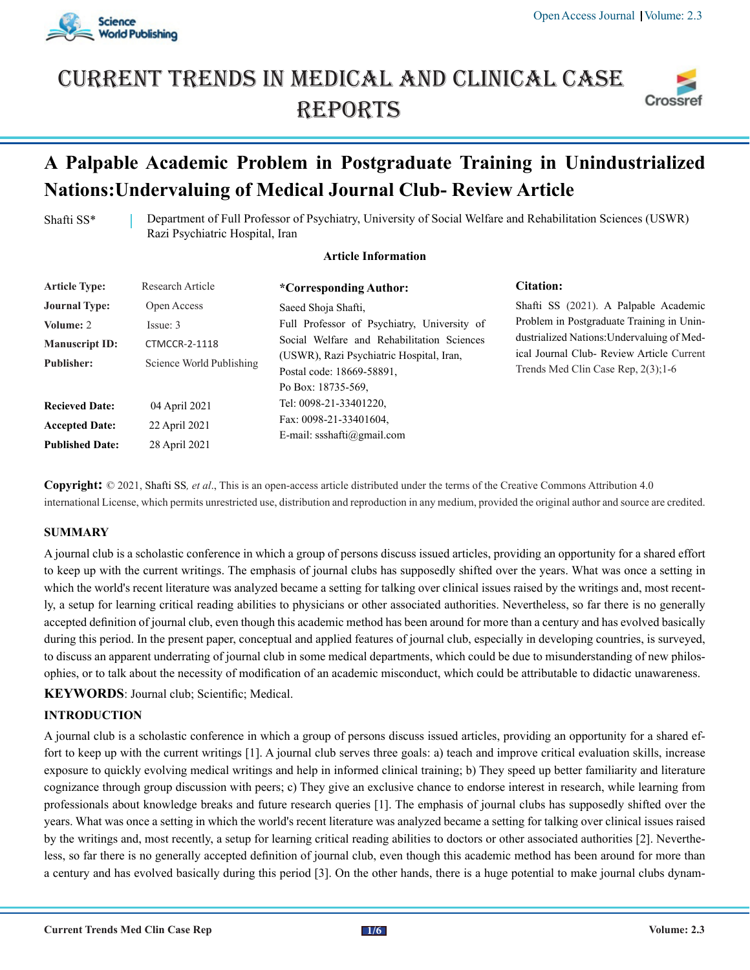

# Current trends in medical and Clinical case **REPORTS**



## **A Palpable Academic Problem in Postgraduate Training in Unindustrialized Nations:Undervaluing of Medical Journal Club- Review Article**

Shafti SS\* Department of Full Professor of Psychiatry, University of Social Welfare and Rehabilitation Sciences (USWR) Razi Psychiatric Hospital, Iran

### **Article Information**

| <b>Article Type:</b>   | Research Article         | *Corresponding Author:                                                                      | <b>Citation:</b>                                                                        |
|------------------------|--------------------------|---------------------------------------------------------------------------------------------|-----------------------------------------------------------------------------------------|
| <b>Journal Type:</b>   | Open Access              | Saeed Shoja Shafti,                                                                         | Shafti SS (2021). A Palpable Academic                                                   |
| Volume: 2              | Issue: 3                 | Full Professor of Psychiatry, University of                                                 | Problem in Postgraduate Training in Unin-                                               |
| <b>Manuscript ID:</b>  | <b>CTMCCR-2-1118</b>     | Social Welfare and Rehabilitation Sciences                                                  | dustrialized Nations: Undervaluing of Med-<br>ical Journal Club- Review Article Current |
| <b>Publisher:</b>      | Science World Publishing | (USWR), Razi Psychiatric Hospital, Iran,<br>Postal code: 18669-58891.<br>Po Box: 18735-569. | Trends Med Clin Case Rep. $2(3)$ : 1-6                                                  |
| <b>Recieved Date:</b>  | 04 April 2021            | Tel: 0098-21-33401220,                                                                      |                                                                                         |
| <b>Accepted Date:</b>  | 22 April 2021            | Fax: 0098-21-33401604,                                                                      |                                                                                         |
| <b>Published Date:</b> | 28 April 2021            | E-mail: ssshafti@gmail.com                                                                  |                                                                                         |

**Copyright:** © 2021, Shafti SS*, et al*., This is an open-access article distributed under the terms of the Creative Commons Attribution 4.0 international License, which permits unrestricted use, distribution and reproduction in any medium, provided the original author and source are credited.

#### **SUMMARY**

A journal club is a scholastic conference in which a group of persons discuss issued articles, providing an opportunity for a shared effort to keep up with the current writings. The emphasis of journal clubs has supposedly shifted over the years. What was once a setting in which the world's recent literature was analyzed became a setting for talking over clinical issues raised by the writings and, most recently, a setup for learning critical reading abilities to physicians or other associated authorities. Nevertheless, so far there is no generally accepted definition of journal club, even though this academic method has been around for more than a century and has evolved basically during this period. In the present paper, conceptual and applied features of journal club, especially in developing countries, is surveyed, to discuss an apparent underrating of journal club in some medical departments, which could be due to misunderstanding of new philosophies, or to talk about the necessity of modification of an academic misconduct, which could be attributable to didactic unawareness. **KEYWORDS**: Journal club; Scientific; Medical.

### **INTRODUCTION**

A journal club is a scholastic conference in which a group of persons discuss issued articles, providing an opportunity for a shared effort to keep up with the current writings [1]. A journal club serves three goals: a) teach and improve critical evaluation skills, increase exposure to quickly evolving medical writings and help in informed clinical training; b) They speed up better familiarity and literature cognizance through group discussion with peers; c) They give an exclusive chance to endorse interest in research, while learning from professionals about knowledge breaks and future research queries [1]. The emphasis of journal clubs has supposedly shifted over the years. What was once a setting in which the world's recent literature was analyzed became a setting for talking over clinical issues raised by the writings and, most recently, a setup for learning critical reading abilities to doctors or other associated authorities [2]. Nevertheless, so far there is no generally accepted definition of journal club, even though this academic method has been around for more than a century and has evolved basically during this period [3]. On the other hands, there is a huge potential to make journal clubs dynam-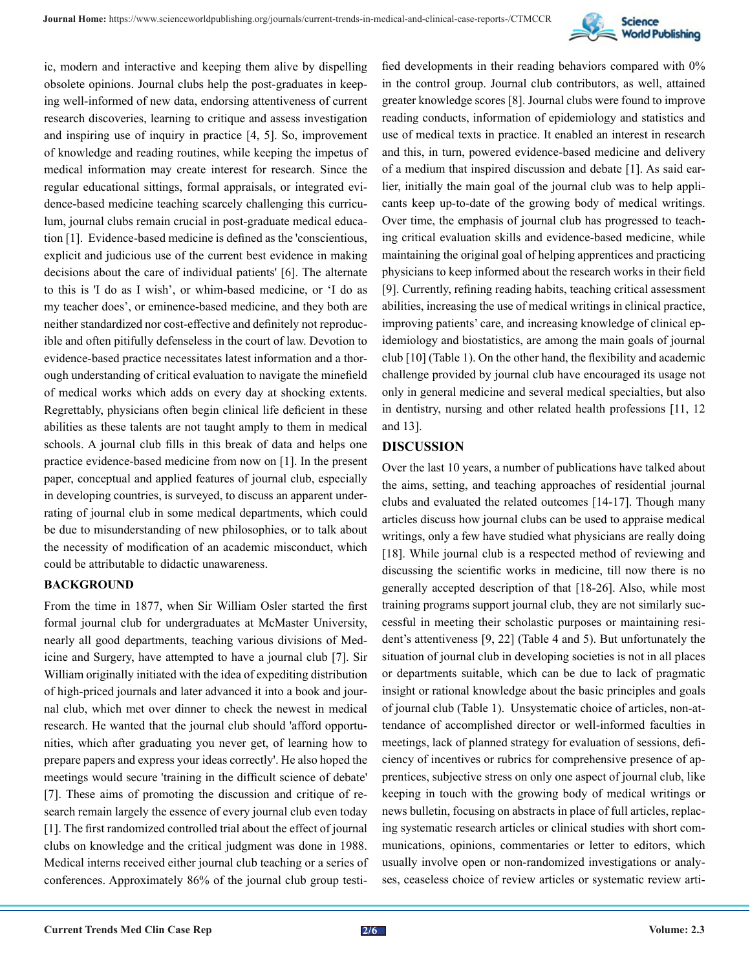

ic, modern and interactive and keeping them alive by dispelling obsolete opinions. Journal clubs help the post-graduates in keeping well-informed of new data, endorsing attentiveness of current research discoveries, learning to critique and assess investigation and inspiring use of inquiry in practice [4, 5]. So, improvement of knowledge and reading routines, while keeping the impetus of medical information may create interest for research. Since the regular educational sittings, formal appraisals, or integrated evidence-based medicine teaching scarcely challenging this curriculum, journal clubs remain crucial in post-graduate medical education [1]. Evidence-based medicine is defined as the 'conscientious, explicit and judicious use of the current best evidence in making decisions about the care of individual patients' [6]. The alternate to this is 'I do as I wish', or whim-based medicine, or 'I do as my teacher does', or eminence-based medicine, and they both are neither standardized nor cost-effective and definitely not reproducible and often pitifully defenseless in the court of law. Devotion to evidence-based practice necessitates latest information and a thorough understanding of critical evaluation to navigate the minefield of medical works which adds on every day at shocking extents. Regrettably, physicians often begin clinical life deficient in these abilities as these talents are not taught amply to them in medical schools. A journal club fills in this break of data and helps one practice evidence-based medicine from now on [1]. In the present paper, conceptual and applied features of journal club, especially in developing countries, is surveyed, to discuss an apparent underrating of journal club in some medical departments, which could be due to misunderstanding of new philosophies, or to talk about the necessity of modification of an academic misconduct, which could be attributable to didactic unawareness.

#### **BACKGROUND**

From the time in 1877, when Sir William Osler started the first formal journal club for undergraduates at McMaster University, nearly all good departments, teaching various divisions of Medicine and Surgery, have attempted to have a journal club [7]. Sir William originally initiated with the idea of expediting distribution of high-priced journals and later advanced it into a book and journal club, which met over dinner to check the newest in medical research. He wanted that the journal club should 'afford opportunities, which after graduating you never get, of learning how to prepare papers and express your ideas correctly'. He also hoped the meetings would secure 'training in the difficult science of debate' [7]. These aims of promoting the discussion and critique of research remain largely the essence of every journal club even today [1]. The first randomized controlled trial about the effect of journal clubs on knowledge and the critical judgment was done in 1988. Medical interns received either journal club teaching or a series of conferences. Approximately 86% of the journal club group testi-

fied developments in their reading behaviors compared with 0% in the control group. Journal club contributors, as well, attained greater knowledge scores [8]. Journal clubs were found to improve reading conducts, information of epidemiology and statistics and use of medical texts in practice. It enabled an interest in research and this, in turn, powered evidence-based medicine and delivery of a medium that inspired discussion and debate [1]. As said earlier, initially the main goal of the journal club was to help applicants keep up-to-date of the growing body of medical writings. Over time, the emphasis of journal club has progressed to teaching critical evaluation skills and evidence-based medicine, while maintaining the original goal of helping apprentices and practicing physicians to keep informed about the research works in their field [9]. Currently, refining reading habits, teaching critical assessment abilities, increasing the use of medical writings in clinical practice, improving patients' care, and increasing knowledge of clinical epidemiology and biostatistics, are among the main goals of journal club [10] (Table 1). On the other hand, the flexibility and academic challenge provided by journal club have encouraged its usage not only in general medicine and several medical specialties, but also in dentistry, nursing and other related health professions [11, 12 and 13].

#### **DISCUSSION**

Over the last 10 years, a number of publications have talked about the aims, setting, and teaching approaches of residential journal clubs and evaluated the related outcomes [14-17]. Though many articles discuss how journal clubs can be used to appraise medical writings, only a few have studied what physicians are really doing [18]. While journal club is a respected method of reviewing and discussing the scientific works in medicine, till now there is no generally accepted description of that [18-26]. Also, while most training programs support journal club, they are not similarly successful in meeting their scholastic purposes or maintaining resident's attentiveness [9, 22] (Table 4 and 5). But unfortunately the situation of journal club in developing societies is not in all places or departments suitable, which can be due to lack of pragmatic insight or rational knowledge about the basic principles and goals of journal club (Table 1). Unsystematic choice of articles, non-attendance of accomplished director or well-informed faculties in meetings, lack of planned strategy for evaluation of sessions, deficiency of incentives or rubrics for comprehensive presence of apprentices, subjective stress on only one aspect of journal club, like keeping in touch with the growing body of medical writings or news bulletin, focusing on abstracts in place of full articles, replacing systematic research articles or clinical studies with short communications, opinions, commentaries or letter to editors, which usually involve open or non-randomized investigations or analyses, ceaseless choice of review articles or systematic review arti-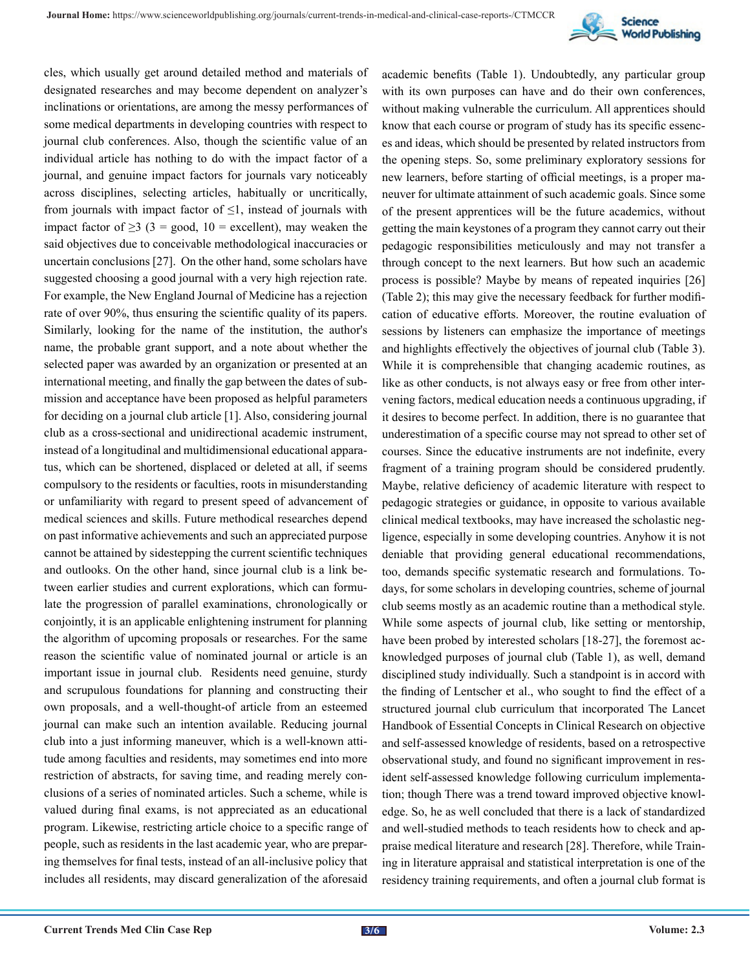

cles, which usually get around detailed method and materials of designated researches and may become dependent on analyzer's inclinations or orientations, are among the messy performances of some medical departments in developing countries with respect to journal club conferences. Also, though the scientific value of an individual article has nothing to do with the impact factor of a journal, and genuine impact factors for journals vary noticeably across disciplines, selecting articles, habitually or uncritically, from journals with impact factor of  $\leq 1$ , instead of journals with impact factor of  $\geq$ 3 (3 = good, 10 = excellent), may weaken the said objectives due to conceivable methodological inaccuracies or uncertain conclusions [27]. On the other hand, some scholars have suggested choosing a good journal with a very high rejection rate. For example, the New England Journal of Medicine has a rejection rate of over 90%, thus ensuring the scientific quality of its papers. Similarly, looking for the name of the institution, the author's name, the probable grant support, and a note about whether the selected paper was awarded by an organization or presented at an international meeting, and finally the gap between the dates of submission and acceptance have been proposed as helpful parameters for deciding on a journal club article [1]. Also, considering journal club as a cross-sectional and unidirectional academic instrument, instead of a longitudinal and multidimensional educational apparatus, which can be shortened, displaced or deleted at all, if seems compulsory to the residents or faculties, roots in misunderstanding or unfamiliarity with regard to present speed of advancement of medical sciences and skills. Future methodical researches depend on past informative achievements and such an appreciated purpose cannot be attained by sidestepping the current scientific techniques and outlooks. On the other hand, since journal club is a link between earlier studies and current explorations, which can formulate the progression of parallel examinations, chronologically or conjointly, it is an applicable enlightening instrument for planning the algorithm of upcoming proposals or researches. For the same reason the scientific value of nominated journal or article is an important issue in journal club. Residents need genuine, sturdy and scrupulous foundations for planning and constructing their own proposals, and a well-thought-of article from an esteemed journal can make such an intention available. Reducing journal club into a just informing maneuver, which is a well-known attitude among faculties and residents, may sometimes end into more restriction of abstracts, for saving time, and reading merely conclusions of a series of nominated articles. Such a scheme, while is valued during final exams, is not appreciated as an educational program. Likewise, restricting article choice to a specific range of people, such as residents in the last academic year, who are preparing themselves for final tests, instead of an all-inclusive policy that includes all residents, may discard generalization of the aforesaid

academic benefits (Table 1). Undoubtedly, any particular group with its own purposes can have and do their own conferences, without making vulnerable the curriculum. All apprentices should know that each course or program of study has its specific essences and ideas, which should be presented by related instructors from the opening steps. So, some preliminary exploratory sessions for new learners, before starting of official meetings, is a proper maneuver for ultimate attainment of such academic goals. Since some of the present apprentices will be the future academics, without getting the main keystones of a program they cannot carry out their pedagogic responsibilities meticulously and may not transfer a through concept to the next learners. But how such an academic process is possible? Maybe by means of repeated inquiries [26] (Table 2); this may give the necessary feedback for further modification of educative efforts. Moreover, the routine evaluation of sessions by listeners can emphasize the importance of meetings and highlights effectively the objectives of journal club (Table 3). While it is comprehensible that changing academic routines, as like as other conducts, is not always easy or free from other intervening factors, medical education needs a continuous upgrading, if it desires to become perfect. In addition, there is no guarantee that underestimation of a specific course may not spread to other set of courses. Since the educative instruments are not indefinite, every fragment of a training program should be considered prudently. Maybe, relative deficiency of academic literature with respect to pedagogic strategies or guidance, in opposite to various available clinical medical textbooks, may have increased the scholastic negligence, especially in some developing countries. Anyhow it is not deniable that providing general educational recommendations, too, demands specific systematic research and formulations. Todays, for some scholars in developing countries, scheme of journal club seems mostly as an academic routine than a methodical style. While some aspects of journal club, like setting or mentorship, have been probed by interested scholars [18-27], the foremost acknowledged purposes of journal club (Table 1), as well, demand disciplined study individually. Such a standpoint is in accord with the finding of Lentscher et al., who sought to find the effect of a structured journal club curriculum that incorporated The Lancet Handbook of Essential Concepts in Clinical Research on objective and self-assessed knowledge of residents, based on a retrospective observational study, and found no significant improvement in resident self-assessed knowledge following curriculum implementation; though There was a trend toward improved objective knowledge. So, he as well concluded that there is a lack of standardized and well-studied methods to teach residents how to check and appraise medical literature and research [28]. Therefore, while Training in literature appraisal and statistical interpretation is one of the residency training requirements, and often a journal club format is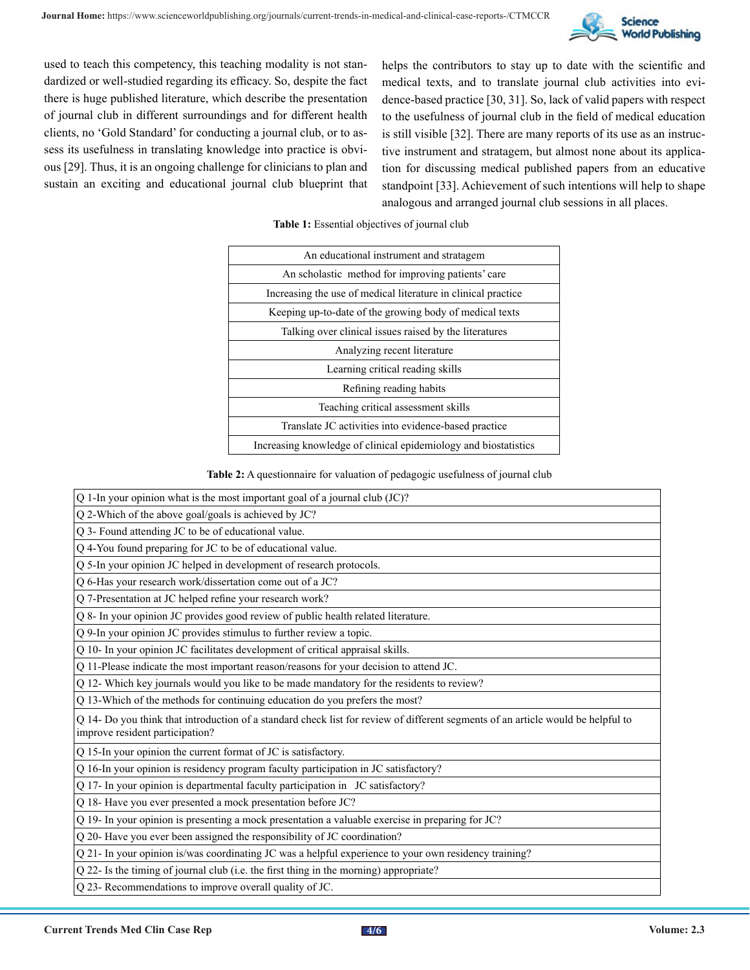

used to teach this competency, this teaching modality is not standardized or well-studied regarding its efficacy. So, despite the fact there is huge published literature, which describe the presentation of journal club in different surroundings and for different health clients, no 'Gold Standard' for conducting a journal club, or to assess its usefulness in translating knowledge into practice is obvious [29]. Thus, it is an ongoing challenge for clinicians to plan and sustain an exciting and educational journal club blueprint that helps the contributors to stay up to date with the scientific and medical texts, and to translate journal club activities into evidence-based practice [30, 31]. So, lack of valid papers with respect to the usefulness of journal club in the field of medical education is still visible [32]. There are many reports of its use as an instructive instrument and stratagem, but almost none about its application for discussing medical published papers from an educative standpoint [33]. Achievement of such intentions will help to shape analogous and arranged journal club sessions in all places.

| An educational instrument and stratagem                         |
|-----------------------------------------------------------------|
| An scholastic method for improving patients' care               |
| Increasing the use of medical literature in clinical practice   |
| Keeping up-to-date of the growing body of medical texts         |
| Talking over clinical issues raised by the literatures          |
| Analyzing recent literature                                     |
| Learning critical reading skills                                |
| Refining reading habits                                         |
| Teaching critical assessment skills                             |
| Translate JC activities into evidence-based practice            |
| Increasing knowledge of clinical epidemiology and biostatistics |

**Table 1:** Essential objectives of journal club

**Table 2:** A questionnaire for valuation of pedagogic usefulness of journal club

| Q 1-In your opinion what is the most important goal of a journal club (JC)?                                                                                         |
|---------------------------------------------------------------------------------------------------------------------------------------------------------------------|
| Q 2-Which of the above goal/goals is achieved by JC?                                                                                                                |
| Q 3- Found attending JC to be of educational value.                                                                                                                 |
| Q 4-You found preparing for JC to be of educational value.                                                                                                          |
| Q 5-In your opinion JC helped in development of research protocols.                                                                                                 |
| Q 6-Has your research work/dissertation come out of a JC?                                                                                                           |
| Q 7-Presentation at JC helped refine your research work?                                                                                                            |
| Q 8- In your opinion JC provides good review of public health related literature.                                                                                   |
| Q 9-In your opinion JC provides stimulus to further review a topic.                                                                                                 |
| Q 10- In your opinion JC facilitates development of critical appraisal skills.                                                                                      |
| Q 11-Please indicate the most important reason/reasons for your decision to attend JC.                                                                              |
| Q 12- Which key journals would you like to be made mandatory for the residents to review?                                                                           |
| Q 13-Which of the methods for continuing education do you prefers the most?                                                                                         |
| Q 14- Do you think that introduction of a standard check list for review of different segments of an article would be helpful to<br>improve resident participation? |
| Q 15-In your opinion the current format of JC is satisfactory.                                                                                                      |
| Q 16-In your opinion is residency program faculty participation in JC satisfactory?                                                                                 |
| Q 17- In your opinion is departmental faculty participation in JC satisfactory?                                                                                     |
| Q 18- Have you ever presented a mock presentation before JC?                                                                                                        |
| Q 19- In your opinion is presenting a mock presentation a valuable exercise in preparing for JC?                                                                    |
| Q 20- Have you ever been assigned the responsibility of JC coordination?                                                                                            |
| Q 21- In your opinion is/was coordinating JC was a helpful experience to your own residency training?                                                               |
| Q 22- Is the timing of journal club (i.e. the first thing in the morning) appropriate?                                                                              |
|                                                                                                                                                                     |

Q 23- Recommendations to improve overall quality of JC.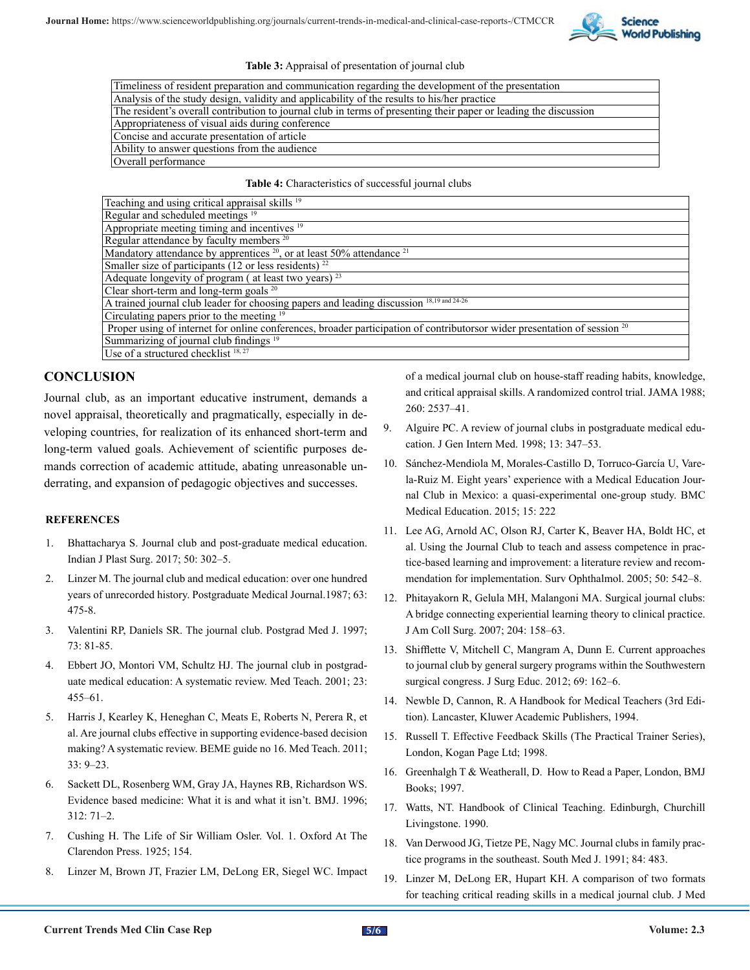

#### **Table 3:** Appraisal of presentation of journal club

| Timeliness of resident preparation and communication regarding the development of the presentation               |
|------------------------------------------------------------------------------------------------------------------|
| Analysis of the study design, validity and applicability of the results to his/her practice                      |
| The resident's overall contribution to journal club in terms of presenting their paper or leading the discussion |
| Appropriateness of visual aids during conference                                                                 |
| Concise and accurate presentation of article                                                                     |
| Ability to answer questions from the audience                                                                    |
| Overall performance                                                                                              |
|                                                                                                                  |

#### **Table 4:** Characteristics of successful journal clubs

| Teaching and using critical appraisal skills <sup>19</sup>                                                                           |
|--------------------------------------------------------------------------------------------------------------------------------------|
| Regular and scheduled meetings <sup>19</sup>                                                                                         |
| Appropriate meeting timing and incentives <sup>19</sup>                                                                              |
| Regular attendance by faculty members <sup>20</sup>                                                                                  |
| Mandatory attendance by apprentices <sup>20</sup> , or at least 50% attendance <sup>21</sup>                                         |
| Smaller size of participants (12 or less residents) $^{22}$                                                                          |
| Adequate longevity of program (at least two years) <sup>23</sup>                                                                     |
| Clear short-term and long-term goals $20$                                                                                            |
| A trained journal club leader for choosing papers and leading discussion 18,19 and 24-26                                             |
| Circulating papers prior to the meeting <sup>19</sup>                                                                                |
| Proper using of internet for online conferences, broader participation of contributorsor wider presentation of session <sup>20</sup> |
| Summarizing of journal club findings <sup>19</sup>                                                                                   |
| Use of a structured checklist 18, 27                                                                                                 |

#### **CONCLUSION**

Journal club, as an important educative instrument, demands a novel appraisal, theoretically and pragmatically, especially in developing countries, for realization of its enhanced short-term and long-term valued goals. Achievement of scientific purposes demands correction of academic attitude, abating unreasonable underrating, and expansion of pedagogic objectives and successes.

#### **REFERENCES**

- 1. [Bhattacharya S. Journal club and post-graduate medical education.](https://www.ncbi.nlm.nih.gov/pmc/articles/PMC5868110/) [Indian J Plast Surg. 2017; 50: 302–5.](https://www.ncbi.nlm.nih.gov/pmc/articles/PMC5868110/)
- 2. [Linzer M. The journal club and medical education: over one hundred](https://pubmed.ncbi.nlm.nih.gov/3324090/) [years of unrecorded history. Postgraduate Medical Journal.1987; 63:](https://pubmed.ncbi.nlm.nih.gov/3324090/)  [475-8](https://pubmed.ncbi.nlm.nih.gov/3324090/).
- 3. Valentini RP, Daniels SR. The journal club. Postgrad Med J. 1997; 73: 81-85.
- 4. [Ebbert JO, Montori VM, Schultz HJ. The journal club in postgrad](https://pubmed.ncbi.nlm.nih.gov/12098365/)[uate medical education: A systematic review. Med Teach. 2001; 23:](https://pubmed.ncbi.nlm.nih.gov/12098365/) [455–61.](https://pubmed.ncbi.nlm.nih.gov/12098365/)
- 5. [Harris J, Kearley K, Heneghan C, Meats E, Roberts N, Perera R, et](https://pubmed.ncbi.nlm.nih.gov/21182379/#:~:text=Abstract,effectiveness has not been established.)  [al. Are journal clubs effective in supporting evidence-based decision](https://pubmed.ncbi.nlm.nih.gov/21182379/#:~:text=Abstract,effectiveness has not been established.) [making? A systematic review. BEME guide no 16. Med Teach. 2011;](https://pubmed.ncbi.nlm.nih.gov/21182379/#:~:text=Abstract,effectiveness has not been established.) [33: 9–23.](https://pubmed.ncbi.nlm.nih.gov/21182379/#:~:text=Abstract,effectiveness has not been established.)
- 6. [Sackett DL, Rosenberg WM, Gray JA, Haynes RB, Richardson WS.](https://pubmed.ncbi.nlm.nih.gov/8555924/) [Evidence based medicine: What it is and what it isn't. BMJ. 1996;](https://pubmed.ncbi.nlm.nih.gov/8555924/) [312: 71–2.](https://pubmed.ncbi.nlm.nih.gov/8555924/)
- 7. Cushing H. The Life of Sir William Osler. Vol. 1. Oxford At The Clarendon Press. 1925; 154.
- 8. [Linzer M, Brown JT, Frazier LM, DeLong ER, Siegel WC. Impact](https://pubmed.ncbi.nlm.nih.gov/3050179/)

[of a medical journal club on house-staff reading habits, knowledge,](https://pubmed.ncbi.nlm.nih.gov/3050179/) [and critical appraisal skills. A randomized control trial. JAMA 1988;](https://pubmed.ncbi.nlm.nih.gov/3050179/) [260: 2537–41.](https://pubmed.ncbi.nlm.nih.gov/3050179/)

- 9. [Alguire PC. A review of journal clubs in postgraduate medical edu](https://pubmed.ncbi.nlm.nih.gov/9613892/)[cation. J Gen Intern Med. 1998; 13: 347–53.](https://pubmed.ncbi.nlm.nih.gov/9613892/)
- 10. [Sánchez-Mendiola M, Morales-Castillo D, Torruco-García U, Vare](https://pubmed.ncbi.nlm.nih.gov/26667394/)[la-Ruiz M. Eight years' experience with a Medical Education Jour](https://pubmed.ncbi.nlm.nih.gov/26667394/)[nal Club in Mexico: a quasi-experimental one-group study. BMC](https://pubmed.ncbi.nlm.nih.gov/26667394/)  [Medical Education. 2015; 15: 222](https://pubmed.ncbi.nlm.nih.gov/26667394/)
- 11. [Lee AG, Arnold AC, Olson RJ, Carter K, Beaver HA, Boldt HC, et](https://pubmed.ncbi.nlm.nih.gov/16263369/)  [al. Using the Journal Club to teach and assess competence in prac](https://pubmed.ncbi.nlm.nih.gov/16263369/)[tice-based learning and improvement: a literature review and recom](https://pubmed.ncbi.nlm.nih.gov/16263369/)[mendation for implementation. Surv Ophthalmol. 2005; 50: 542–8.](https://pubmed.ncbi.nlm.nih.gov/16263369/)
- 12. [Phitayakorn R, Gelula MH, Malangoni MA. Surgical journal clubs:](https://pubmed.ncbi.nlm.nih.gov/17189124/) [A bridge connecting experiential learning theory to clinical practice.](https://pubmed.ncbi.nlm.nih.gov/17189124/) [J Am Coll Surg. 2007; 204: 158–63](https://pubmed.ncbi.nlm.nih.gov/17189124/).
- 13. [Shifflette V, Mitchell C, Mangram A, Dunn E. Current approaches](https://pubmed.ncbi.nlm.nih.gov/22365860/) [to journal club by general surgery programs within the Southwestern](https://pubmed.ncbi.nlm.nih.gov/22365860/) [surgical congress. J Surg Educ. 2012; 69: 162–6.](https://pubmed.ncbi.nlm.nih.gov/22365860/)
- 14. Newble D, Cannon, R. A Handbook for Medical Teachers (3rd Edition). Lancaster, Kluwer Academic Publishers, 1994.
- 15. Russell T. Effective Feedback Skills (The Practical Trainer Series), London, Kogan Page Ltd; 1998.
- 16. Greenhalgh T & Weatherall, D. How to Read a Paper, London, BMJ Books; 1997.
- 17. Watts, NT. Handbook of Clinical Teaching. Edinburgh, Churchill Livingstone. 1990.
- 18. Van Derwood JG, Tietze PE, Nagy MC. Journal clubs in family practice programs in the southeast. South Med J. 1991; 84: 483.
- 19. [Linzer M, DeLong ER, Hupart KH. A comparison of two formats](https://pubmed.ncbi.nlm.nih.gov/3612735/) [for teaching critical reading skills in a medical journal club. J Med](https://pubmed.ncbi.nlm.nih.gov/3612735/)